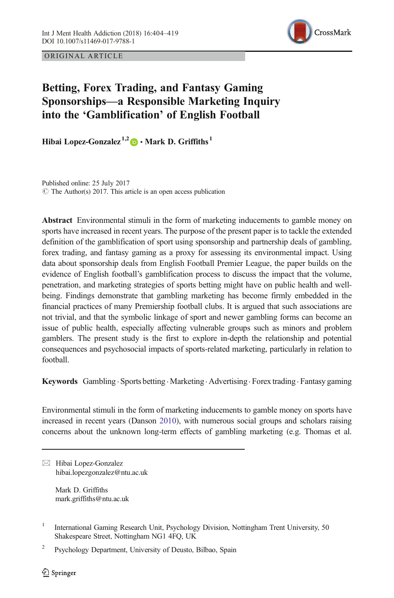ORIGINAL ARTICLE



# Betting, Forex Trading, and Fantasy Gaming Sponsorships—a Responsible Marketing Inquiry into the 'Gamblification' of English Football

Hibai Lopez-Gonzalez<sup>1,2</sup>  $\bullet$  Mark D. Griffiths<sup>1</sup>

 $\circ$  The Author(s) 2017. This article is an open access publication Published online: 25 July 2017

Abstract Environmental stimuli in the form of marketing inducements to gamble money on sports have increased in recent years. The purpose of the present paper is to tackle the extended definition of the gamblification of sport using sponsorship and partnership deals of gambling, forex trading, and fantasy gaming as a proxy for assessing its environmental impact. Using data about sponsorship deals from English Football Premier League, the paper builds on the evidence of English football's gamblification process to discuss the impact that the volume, penetration, and marketing strategies of sports betting might have on public health and wellbeing. Findings demonstrate that gambling marketing has become firmly embedded in the financial practices of many Premiership football clubs. It is argued that such associations are not trivial, and that the symbolic linkage of sport and newer gambling forms can become an issue of public health, especially affecting vulnerable groups such as minors and problem gamblers. The present study is the first to explore in-depth the relationship and potential consequences and psychosocial impacts of sports-related marketing, particularly in relation to football.

Keywords Gambling · Sports betting · Marketing · Advertising · Forex trading · Fantasy gaming

Environmental stimuli in the form of marketing inducements to gamble money on sports have increased in recent years (Danson [2010\)](#page-13-0), with numerous social groups and scholars raising concerns about the unknown long-term effects of gambling marketing (e.g. Thomas et al.

 $\boxtimes$  Hibai Lopez-Gonzalez [hibai.lopezgonzalez@ntu.ac.uk](mailto:hibai.lopezgonzalez@ntu.ac.uk)

> Mark D. Griffiths mark.griffiths@ntu.ac.uk

<sup>&</sup>lt;sup>1</sup> International Gaming Research Unit, Psychology Division, Nottingham Trent University, 50 Shakespeare Street, Nottingham NG1 4FQ, UK

<sup>&</sup>lt;sup>2</sup> Psychology Department, University of Deusto, Bilbao, Spain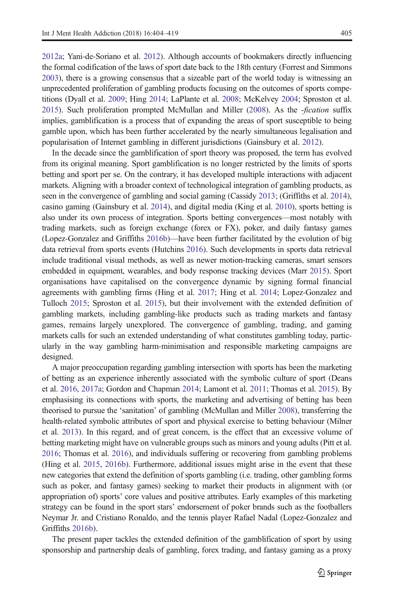[2012a](#page-15-0); Yani-de-Soriano et al. [2012\)](#page-15-0). Although accounts of bookmakers directly influencing the formal codification of the laws of sport date back to the 18th century (Forrest and Simmons [2003](#page-13-0)), there is a growing consensus that a sizeable part of the world today is witnessing an unprecedented proliferation of gambling products focusing on the outcomes of sports competitions (Dyall et al. [2009](#page-13-0); Hing [2014;](#page-13-0) LaPlante et al. [2008](#page-14-0); McKelvey [2004;](#page-14-0) Sproston et al. [2015](#page-15-0)). Such proliferation prompted McMullan and Miller [\(2008\)](#page-14-0). As the -fication suffix implies, gamblification is a process that of expanding the areas of sport susceptible to being gamble upon, which has been further accelerated by the nearly simultaneous legalisation and popularisation of Internet gambling in different jurisdictions (Gainsbury et al. [2012\)](#page-13-0).

In the decade since the gamblification of sport theory was proposed, the term has evolved from its original meaning. Sport gamblification is no longer restricted by the limits of sports betting and sport per se. On the contrary, it has developed multiple interactions with adjacent markets. Aligning with a broader context of technological integration of gambling products, as seen in the convergence of gambling and social gaming (Cassidy [2013](#page-12-0); (Griffiths et al. [2014](#page-13-0)), casino gaming (Gainsbury et al. [2014\)](#page-13-0), and digital media (King et al. [2010\)](#page-14-0), sports betting is also under its own process of integration. Sports betting convergences—most notably with trading markets, such as foreign exchange (forex or FX), poker, and daily fantasy games (Lopez-Gonzalez and Griffiths [2016b\)](#page-14-0)—have been further facilitated by the evolution of big data retrieval from sports events (Hutchins [2016\)](#page-14-0). Such developments in sports data retrieval include traditional visual methods, as well as newer motion-tracking cameras, smart sensors embedded in equipment, wearables, and body response tracking devices (Marr [2015](#page-14-0)). Sport organisations have capitalised on the convergence dynamic by signing formal financial agreements with gambling firms (Hing et al. [2017](#page-14-0); Hing et al. [2014;](#page-14-0) Lopez-Gonzalez and Tulloch [2015](#page-14-0); Sproston et al. [2015\)](#page-15-0), but their involvement with the extended definition of gambling markets, including gambling-like products such as trading markets and fantasy games, remains largely unexplored. The convergence of gambling, trading, and gaming markets calls for such an extended understanding of what constitutes gambling today, particularly in the way gambling harm-minimisation and responsible marketing campaigns are designed.

A major preoccupation regarding gambling intersection with sports has been the marketing of betting as an experience inherently associated with the symbolic culture of sport (Deans et al. [2016,](#page-13-0) [2017a](#page-13-0); Gordon and Chapman [2014;](#page-13-0) Lamont et al. [2011](#page-14-0); Thomas et al. [2015\)](#page-15-0). By emphasising its connections with sports, the marketing and advertising of betting has been theorised to pursue the 'sanitation' of gambling (McMullan and Miller [2008\)](#page-14-0), transferring the health-related symbolic attributes of sport and physical exercise to betting behaviour (Milner et al. [2013\)](#page-14-0). In this regard, and of great concern, is the effect that an excessive volume of betting marketing might have on vulnerable groups such as minors and young adults (Pitt et al. [2016](#page-15-0); Thomas et al. [2016](#page-15-0)), and individuals suffering or recovering from gambling problems (Hing et al. [2015,](#page-14-0) [2016b](#page-14-0)). Furthermore, additional issues might arise in the event that these new categories that extend the definition of sports gambling (i.e. trading, other gambling forms such as poker, and fantasy games) seeking to market their products in alignment with (or appropriation of) sports' core values and positive attributes. Early examples of this marketing strategy can be found in the sport stars' endorsement of poker brands such as the footballers Neymar Jr. and Cristiano Ronaldo, and the tennis player Rafael Nadal (Lopez-Gonzalez and Griffiths [2016b\)](#page-14-0).

The present paper tackles the extended definition of the gamblification of sport by using sponsorship and partnership deals of gambling, forex trading, and fantasy gaming as a proxy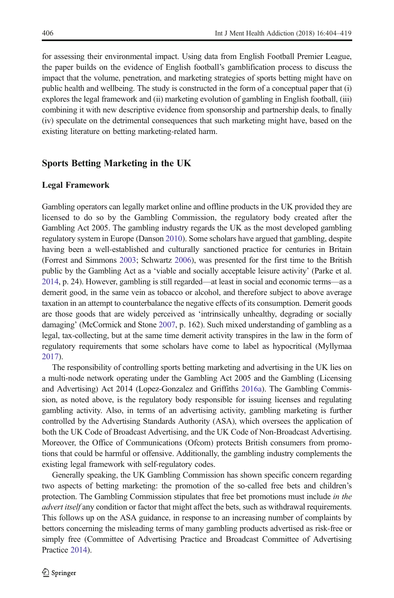for assessing their environmental impact. Using data from English Football Premier League, the paper builds on the evidence of English football's gamblification process to discuss the impact that the volume, penetration, and marketing strategies of sports betting might have on public health and wellbeing. The study is constructed in the form of a conceptual paper that (i) explores the legal framework and (ii) marketing evolution of gambling in English football, (iii) combining it with new descriptive evidence from sponsorship and partnership deals, to finally (iv) speculate on the detrimental consequences that such marketing might have, based on the existing literature on betting marketing-related harm.

# Sports Betting Marketing in the UK

#### Legal Framework

Gambling operators can legally market online and offline products in the UK provided they are licensed to do so by the Gambling Commission, the regulatory body created after the Gambling Act 2005. The gambling industry regards the UK as the most developed gambling regulatory system in Europe (Danson [2010](#page-13-0)). Some scholars have argued that gambling, despite having been a well-established and culturally sanctioned practice for centuries in Britain (Forrest and Simmons [2003;](#page-13-0) Schwartz [2006](#page-15-0)), was presented for the first time to the British public by the Gambling Act as a 'viable and socially acceptable leisure activity' (Parke et al. [2014](#page-14-0), p. 24). However, gambling is still regarded—at least in social and economic terms—as a demerit good, in the same vein as tobacco or alcohol, and therefore subject to above average taxation in an attempt to counterbalance the negative effects of its consumption. Demerit goods are those goods that are widely perceived as 'intrinsically unhealthy, degrading or socially damaging' (McCormick and Stone [2007,](#page-14-0) p. 162). Such mixed understanding of gambling as a legal, tax-collecting, but at the same time demerit activity transpires in the law in the form of regulatory requirements that some scholars have come to label as hypocritical (Myllymaa [2017](#page-14-0)).

The responsibility of controlling sports betting marketing and advertising in the UK lies on a multi-node network operating under the Gambling Act 2005 and the Gambling (Licensing and Advertising) Act 2014 (Lopez-Gonzalez and Griffiths [2016a\)](#page-14-0). The Gambling Commission, as noted above, is the regulatory body responsible for issuing licenses and regulating gambling activity. Also, in terms of an advertising activity, gambling marketing is further controlled by the Advertising Standards Authority (ASA), which oversees the application of both the UK Code of Broadcast Advertising, and the UK Code of Non-Broadcast Advertising. Moreover, the Office of Communications (Ofcom) protects British consumers from promotions that could be harmful or offensive. Additionally, the gambling industry complements the existing legal framework with self-regulatory codes.

Generally speaking, the UK Gambling Commission has shown specific concern regarding two aspects of betting marketing: the promotion of the so-called free bets and children's protection. The Gambling Commission stipulates that free bet promotions must include in the advert itself any condition or factor that might affect the bets, such as withdrawal requirements. This follows up on the ASA guidance, in response to an increasing number of complaints by bettors concerning the misleading terms of many gambling products advertised as risk-free or simply free (Committee of Advertising Practice and Broadcast Committee of Advertising Practice [2014](#page-12-0)).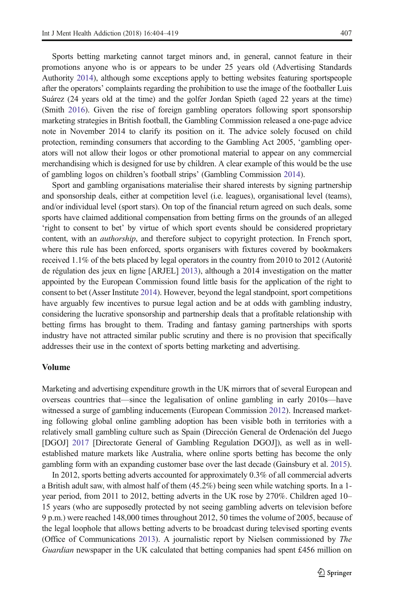Sports betting marketing cannot target minors and, in general, cannot feature in their promotions anyone who is or appears to be under 25 years old (Advertising Standards Authority [2014](#page-12-0)), although some exceptions apply to betting websites featuring sportspeople after the operators' complaints regarding the prohibition to use the image of the footballer Luis Suárez (24 years old at the time) and the golfer Jordan Spieth (aged 22 years at the time) (Smith [2016\)](#page-15-0). Given the rise of foreign gambling operators following sport sponsorship marketing strategies in British football, the Gambling Commission released a one-page advice note in November 2014 to clarify its position on it. The advice solely focused on child protection, reminding consumers that according to the Gambling Act 2005, 'gambling operators will not allow their logos or other promotional material to appear on any commercial merchandising which is designed for use by children. A clear example of this would be the use of gambling logos on children's football strips' (Gambling Commission [2014](#page-13-0)).

Sport and gambling organisations materialise their shared interests by signing partnership and sponsorship deals, either at competition level (i.e. leagues), organisational level (teams), and/or individual level (sport stars). On top of the financial return agreed on such deals, some sports have claimed additional compensation from betting firms on the grounds of an alleged 'right to consent to bet' by virtue of which sport events should be considered proprietary content, with an *authorship*, and therefore subject to copyright protection. In French sport, where this rule has been enforced, sports organisers with fixtures covered by bookmakers received 1.1% of the bets placed by legal operators in the country from 2010 to 2012 (Autorité de régulation des jeux en ligne [ARJEL] [2013\)](#page-12-0), although a 2014 investigation on the matter appointed by the European Commission found little basis for the application of the right to consent to bet (Asser Institute [2014](#page-12-0)). However, beyond the legal standpoint, sport competitions have arguably few incentives to pursue legal action and be at odds with gambling industry, considering the lucrative sponsorship and partnership deals that a profitable relationship with betting firms has brought to them. Trading and fantasy gaming partnerships with sports industry have not attracted similar public scrutiny and there is no provision that specifically addresses their use in the context of sports betting marketing and advertising.

#### Volume

Marketing and advertising expenditure growth in the UK mirrors that of several European and overseas countries that—since the legalisation of online gambling in early 2010s—have witnessed a surge of gambling inducements (European Commission [2012\)](#page-13-0). Increased marketing following global online gambling adoption has been visible both in territories with a relatively small gambling culture such as Spain (Dirección General de Ordenación del Juego [DGOJ] [2017](#page-13-0) [Directorate General of Gambling Regulation DGOJ]), as well as in wellestablished mature markets like Australia, where online sports betting has become the only gambling form with an expanding customer base over the last decade (Gainsbury et al. [2015](#page-13-0)).

In 2012, sports betting adverts accounted for approximately 0.3% of all commercial adverts a British adult saw, with almost half of them (45.2%) being seen while watching sports. In a 1 year period, from 2011 to 2012, betting adverts in the UK rose by 270%. Children aged 10– 15 years (who are supposedly protected by not seeing gambling adverts on television before 9 p.m.) were reached 148,000 times throughout 2012, 50 times the volume of 2005, because of the legal loophole that allows betting adverts to be broadcast during televised sporting events (Office of Communications [2013](#page-14-0)). A journalistic report by Nielsen commissioned by The Guardian newspaper in the UK calculated that betting companies had spent £456 million on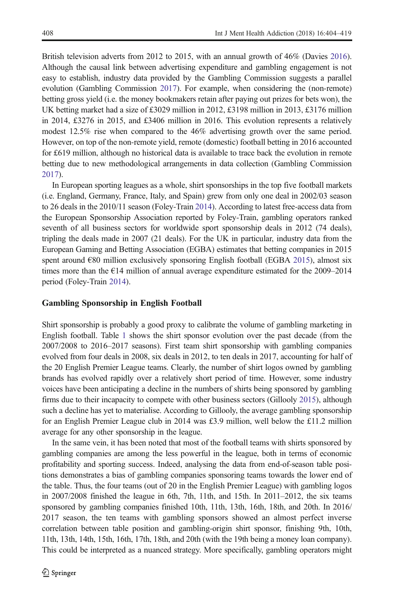British television adverts from 2012 to 2015, with an annual growth of 46% (Davies [2016](#page-13-0)). Although the causal link between advertising expenditure and gambling engagement is not easy to establish, industry data provided by the Gambling Commission suggests a parallel evolution (Gambling Commission [2017](#page-13-0)). For example, when considering the (non-remote) betting gross yield (i.e. the money bookmakers retain after paying out prizes for bets won), the UK betting market had a size of £3029 million in 2012, £3198 million in 2013, £3176 million in 2014, £3276 in 2015, and £3406 million in 2016. This evolution represents a relatively modest 12.5% rise when compared to the 46% advertising growth over the same period. However, on top of the non-remote yield, remote (domestic) football betting in 2016 accounted for £619 million, although no historical data is available to trace back the evolution in remote betting due to new methodological arrangements in data collection (Gambling Commission [2017](#page-13-0)).

In European sporting leagues as a whole, shirt sponsorships in the top five football markets (i.e. England, Germany, France, Italy, and Spain) grew from only one deal in 2002/03 season to 26 deals in the 2010/11 season (Foley-Train [2014](#page-13-0)). According to latest free-access data from the European Sponsorship Association reported by Foley-Train, gambling operators ranked seventh of all business sectors for worldwide sport sponsorship deals in 2012 (74 deals), tripling the deals made in 2007 (21 deals). For the UK in particular, industry data from the European Gaming and Betting Association (EGBA) estimates that betting companies in 2015 spent around €80 million exclusively sponsoring English football (EGBA [2015\)](#page-13-0), almost six times more than the  $\epsilon$ 14 million of annual average expenditure estimated for the 2009–2014 period (Foley-Train [2014\)](#page-13-0).

## Gambling Sponsorship in English Football

Shirt sponsorship is probably a good proxy to calibrate the volume of gambling marketing in English football. Table [1](#page-5-0) shows the shirt sponsor evolution over the past decade (from the 2007/2008 to 2016–2017 seasons). First team shirt sponsorship with gambling companies evolved from four deals in 2008, six deals in 2012, to ten deals in 2017, accounting for half of the 20 English Premier League teams. Clearly, the number of shirt logos owned by gambling brands has evolved rapidly over a relatively short period of time. However, some industry voices have been anticipating a decline in the numbers of shirts being sponsored by gambling firms due to their incapacity to compete with other business sectors (Gillooly [2015\)](#page-13-0), although such a decline has yet to materialise. According to Gillooly, the average gambling sponsorship for an English Premier League club in 2014 was £3.9 million, well below the £11.2 million average for any other sponsorship in the league.

In the same vein, it has been noted that most of the football teams with shirts sponsored by gambling companies are among the less powerful in the league, both in terms of economic profitability and sporting success. Indeed, analysing the data from end-of-season table positions demonstrates a bias of gambling companies sponsoring teams towards the lower end of the table. Thus, the four teams (out of 20 in the English Premier League) with gambling logos in 2007/2008 finished the league in 6th, 7th, 11th, and 15th. In 2011–2012, the six teams sponsored by gambling companies finished 10th, 11th, 13th, 16th, 18th, and 20th. In 2016/ 2017 season, the ten teams with gambling sponsors showed an almost perfect inverse correlation between table position and gambling-origin shirt sponsor, finishing 9th, 10th, 11th, 13th, 14th, 15th, 16th, 17th, 18th, and 20th (with the 19th being a money loan company). This could be interpreted as a nuanced strategy. More specifically, gambling operators might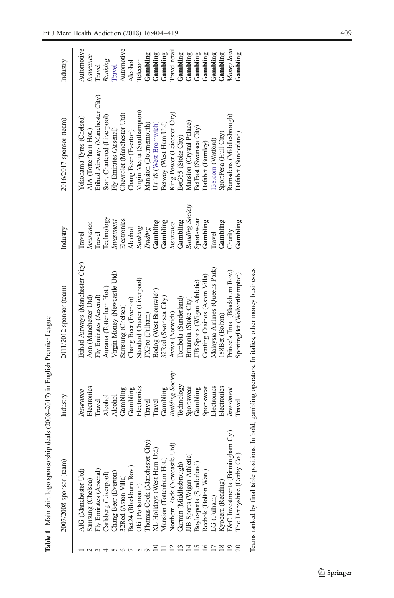<span id="page-5-0"></span>

| 2007/2008 sponsor (team)                                    | Industry                | 2011/2012 sponsor (team)         | Industry                | 2016/2017 sponsor (team)         | Industry         |
|-------------------------------------------------------------|-------------------------|----------------------------------|-------------------------|----------------------------------|------------------|
| AIG (Manchester Utd                                         | <i>Insurance</i>        | Etihad Airways (Manchester City) | <b>Travel</b>           | Yokohama Tyres (Chelsea)         | Automotive       |
| Samsung (Chelsea)                                           | Electronics             | Aon (Manchester Utd)             | Insurance               | AIA (Tottenham Hot.)             | <b>Insurance</b> |
| Fly Emirates (Arsenal)                                      | <b>Travel</b>           | Fly Emirates (Arsenal)           | <b>Travel</b>           | Etihad Airways (Manchester City) | Travel           |
| Carlsberg (Liverpool)                                       | Alcohol                 | Aurama (Tottenham Hot.)          | Technology              | Stan. Chartered (Liverpool)      | Banking          |
| Chang Beer (Everton)                                        | Alcohol                 | Virgin Money (Newcastle Utd)     | Investment              | Fly Emirates (Arsenal)           | Travel           |
| 32Red (Aston Villa)<br>Bet24 (Blackburn Rov.)               | Gambling                | Samsung (Chelsea)                | Electronics             | Chevrolet (Manchester Utd)       | Automotive       |
|                                                             | Gambling                | Chang Beer (Everton)             | Alcohol                 | Chang Beer (Everton)             | Alcohol          |
| Oki (Portsmouth)                                            | Electronics             | Standard Charter (Liverpool)     | Banking                 | Virgin Media (Southampton)       | Telecom          |
| Thomas Cook (Manchester City)                               | Travel                  | FXPro (Fulham)                   | Trading                 | Mansion (Bournemouth)            | Gambling         |
| XL Holidays (West Ham Utd)                                  | Travel                  | Bodog (West Bromwich)            | Gambling                | Uk-k8 (West Bromwich)            | Gambling         |
| Mansion (Tottenham Hot.)                                    | Gambling                | 32Red (Swansea City)             | Gambling                | Betway (West Ham Utd)            | Gambling         |
| ਤਿ<br>Northern Rock (Newcastle Ut<br>Garmin (Middlesbrough) | <b>Building Society</b> | Aviva (Norwich)                  | <b>Insurance</b>        | King Power (Leicester City)      | Travel retail    |
|                                                             | <b>Technology</b>       | Combola (Sunderland)             | Gambling                | Bet365 (Stoke City)              | Gambling         |
| JJB Sports (Wigan Athletic)<br>Boylesports (Sunderland)     | Sportswear              | Britannia (Stoke City)           | <b>Building Society</b> | Mansion (Crystal Palace)         | Gambling         |
|                                                             | Gambling                | JB Sports (Wigan Athletic)       | Sportswear              | BetEast (Swansea City)           | Gambling         |
| Reebok (Bolton Wan.)                                        | Sportswear              | Genting Casinos (Aston Villa)    | Gambling                | Dafabet (Burnley)                | Gambling         |
| LG (Fulham)                                                 | Electronics             | Malaysia Airlines (Queens Park)  | <b>Travel</b>           | [38.com (Watford)                | Gambling         |
| Kyocera (Reading)                                           | Electronics             | 88Bet (Bolton)                   | Gambling                | SportPesa (Hull City)            | Gambling         |
| F&C Investments (Birmingham Cy.)                            | Investment              | Prince's Trust (Blackburn Rov.)  | Charity                 | Ramsdens (Middlesbrough)         | Money loan       |
| The Derbyshire (Derby Co.)                                  | Travel                  | SportingBet (Wolverthampton)     | Gambling                | Dafabet (Sunderland)             | Gambling         |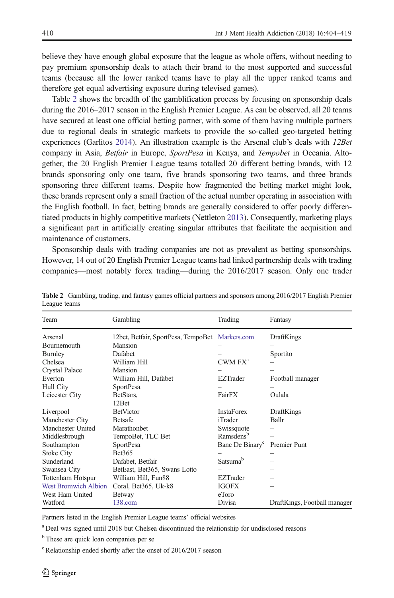believe they have enough global exposure that the league as whole offers, without needing to pay premium sponsorship deals to attach their brand to the most supported and successful teams (because all the lower ranked teams have to play all the upper ranked teams and therefore get equal advertising exposure during televised games).

Table 2 shows the breadth of the gamblification process by focusing on sponsorship deals during the 2016–2017 season in the English Premier League. As can be observed, all 20 teams have secured at least one official betting partner, with some of them having multiple partners due to regional deals in strategic markets to provide the so-called geo-targeted betting experiences (Garlitos [2014](#page-13-0)). An illustration example is the Arsenal club's deals with 12Bet company in Asia, *Betfair* in Europe, *SportPesa* in Kenya, and *Tempobet* in Oceania. Altogether, the 20 English Premier League teams totalled 20 different betting brands, with 12 brands sponsoring only one team, five brands sponsoring two teams, and three brands sponsoring three different teams. Despite how fragmented the betting market might look, these brands represent only a small fraction of the actual number operating in association with the English football. In fact, betting brands are generally considered to offer poorly differentiated products in highly competitive markets (Nettleton [2013\)](#page-14-0). Consequently, marketing plays a significant part in artificially creating singular attributes that facilitate the acquisition and maintenance of customers.

Sponsorship deals with trading companies are not as prevalent as betting sponsorships. However, 14 out of 20 English Premier League teams had linked partnership deals with trading companies—most notably forex trading—during the 2016/2017 season. Only one trader

| Team                        | Gambling                                        | Trading                     | Fantasy                      |
|-----------------------------|-------------------------------------------------|-----------------------------|------------------------------|
| Arsenal                     | 12bet, Betfair, SportPesa, TempoBet Markets.com |                             | DraftKings                   |
| <b>Bournemouth</b>          | Mansion                                         |                             |                              |
| Burnley                     | Dafabet                                         |                             | Sportito                     |
| Chelsea                     | William Hill                                    | $CWM$ $FX^a$                |                              |
| Crystal Palace              | Mansion                                         |                             |                              |
| Everton                     | William Hill, Dafabet                           | EZTrader                    | Football manager             |
| Hull City                   | <b>SportPesa</b>                                |                             |                              |
| Leicester City              | BetStars,                                       | FairFX                      | Oulala                       |
|                             | 12 <sub>Bet</sub>                               |                             |                              |
| Liverpool                   | <b>BetVictor</b>                                | <b>InstaForex</b>           | DraftKings                   |
| Manchester City             | Betsafe                                         | iTrader                     | Ballr                        |
| Manchester United           | <b>Marathonbet</b>                              | Swissquote                  |                              |
| Middlesbrough               | TempoBet, TLC Bet                               | Ramsdens <sup>b</sup>       |                              |
| Southampton                 | <b>SportPesa</b>                                | Banc De Binary <sup>c</sup> | Premier Punt                 |
| <b>Stoke City</b>           | Bet365                                          |                             |                              |
| Sunderland                  | Dafabet, Betfair                                | Satsuma <sup>b</sup>        |                              |
| Swansea City                | BetEast, Bet365, Swans Lotto                    |                             |                              |
| Tottenham Hotspur           | William Hill, Fun88                             | <b>EZTrader</b>             |                              |
| <b>West Bromwich Albion</b> | Coral, Bet365, Uk-k8                            | <b>IGOFX</b>                |                              |
| West Ham United             | Betway                                          | eToro                       |                              |
| Watford                     | $138$ .com                                      | Divisa                      | DraftKings, Football manager |

Table 2 Gambling, trading, and fantasy games official partners and sponsors among 2016/2017 English Premier League teams

Partners listed in the English Premier League teams' official websites

<sup>a</sup> Deal was signed until 2018 but Chelsea discontinued the relationship for undisclosed reasons

<sup>b</sup> These are quick loan companies per se

<sup>c</sup> Relationship ended shortly after the onset of 2016/2017 season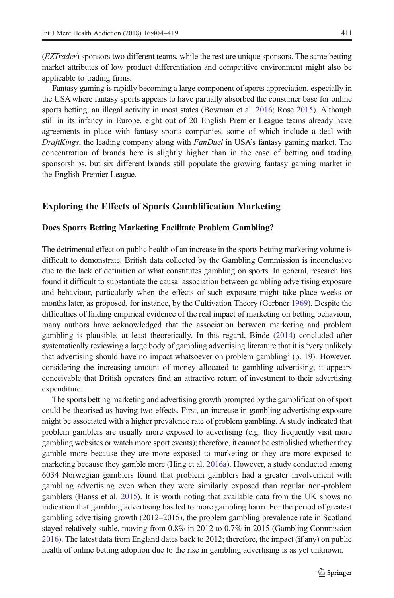(EZTrader) sponsors two different teams, while the rest are unique sponsors. The same betting market attributes of low product differentiation and competitive environment might also be applicable to trading firms.

Fantasy gaming is rapidly becoming a large component of sports appreciation, especially in the USA where fantasy sports appears to have partially absorbed the consumer base for online sports betting, an illegal activity in most states (Bowman et al. [2016;](#page-12-0) Rose [2015](#page-15-0)). Although still in its infancy in Europe, eight out of 20 English Premier League teams already have agreements in place with fantasy sports companies, some of which include a deal with DraftKings, the leading company along with FanDuel in USA's fantasy gaming market. The concentration of brands here is slightly higher than in the case of betting and trading sponsorships, but six different brands still populate the growing fantasy gaming market in the English Premier League.

# Exploring the Effects of Sports Gamblification Marketing

#### Does Sports Betting Marketing Facilitate Problem Gambling?

The detrimental effect on public health of an increase in the sports betting marketing volume is difficult to demonstrate. British data collected by the Gambling Commission is inconclusive due to the lack of definition of what constitutes gambling on sports. In general, research has found it difficult to substantiate the causal association between gambling advertising exposure and behaviour, particularly when the effects of such exposure might take place weeks or months later, as proposed, for instance, by the Cultivation Theory (Gerbner [1969\)](#page-13-0). Despite the difficulties of finding empirical evidence of the real impact of marketing on betting behaviour, many authors have acknowledged that the association between marketing and problem gambling is plausible, at least theoretically. In this regard, Binde ([2014](#page-12-0)) concluded after systematically reviewing a large body of gambling advertising literature that it is 'very unlikely that advertising should have no impact whatsoever on problem gambling' (p. 19). However, considering the increasing amount of money allocated to gambling advertising, it appears conceivable that British operators find an attractive return of investment to their advertising expenditure.

The sports betting marketing and advertising growth prompted by the gamblification of sport could be theorised as having two effects. First, an increase in gambling advertising exposure might be associated with a higher prevalence rate of problem gambling. A study indicated that problem gamblers are usually more exposed to advertising (e.g. they frequently visit more gambling websites or watch more sport events); therefore, it cannot be established whether they gamble more because they are more exposed to marketing or they are more exposed to marketing because they gamble more (Hing et al. [2016a\)](#page-14-0). However, a study conducted among 6034 Norwegian gamblers found that problem gamblers had a greater involvement with gambling advertising even when they were similarly exposed than regular non-problem gamblers (Hanss et al. [2015](#page-13-0)). It is worth noting that available data from the UK shows no indication that gambling advertising has led to more gambling harm. For the period of greatest gambling advertising growth (2012–2015), the problem gambling prevalence rate in Scotland stayed relatively stable, moving from 0.8% in 2012 to 0.7% in 2015 (Gambling Commission [2016](#page-13-0)). The latest data from England dates back to 2012; therefore, the impact (if any) on public health of online betting adoption due to the rise in gambling advertising is as yet unknown.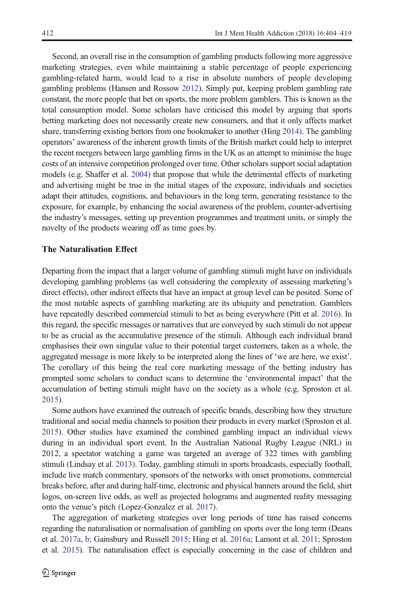Second, an overall rise in the consumption of gambling products following more aggressive marketing strategies, even while maintaining a stable percentage of people experiencing gambling-related harm, would lead to a rise in absolute numbers of people developing gambling problems (Hansen and Rossow [2012\)](#page-13-0). Simply put, keeping problem gambling rate constant, the more people that bet on sports, the more problem gamblers. This is known as the total consumption model. Some scholars have criticised this model by arguing that sports betting marketing does not necessarily create new consumers, and that it only affects market share, transferring existing bettors from one bookmaker to another (Hing [2014\)](#page-13-0). The gambling operators' awareness of the inherent growth limits of the British market could help to interpret the recent mergers between large gambling firms in the UK as an attempt to minimise the huge costs of an intensive competition prolonged over time. Other scholars support social adaptation models (e.g. Shaffer et al. [2004\)](#page-15-0) that propose that while the detrimental effects of marketing and advertising might be true in the initial stages of the exposure, individuals and societies adapt their attitudes, cognitions, and behaviours in the long term, generating resistance to the exposure, for example, by enhancing the social awareness of the problem, counter-advertising the industry's messages, setting up prevention programmes and treatment units, or simply the novelty of the products wearing off as time goes by.

## The Naturalisation Effect

Departing from the impact that a larger volume of gambling stimuli might have on individuals developing gambling problems (as well considering the complexity of assessing marketing's direct effects), other indirect effects that have an impact at group level can be posited. Some of the most notable aspects of gambling marketing are its ubiquity and penetration. Gamblers have repeatedly described commercial stimuli to bet as being everywhere (Pitt et al. [2016](#page-15-0)). In this regard, the specific messages or narratives that are conveyed by such stimuli do not appear to be as crucial as the accumulative presence of the stimuli. Although each individual brand emphasises their own singular value to their potential target customers, taken as a whole, the aggregated message is more likely to be interpreted along the lines of 'we are here, we exist'. The corollary of this being the real core marketing message of the betting industry has prompted some scholars to conduct scans to determine the 'environmental impact' that the accumulation of betting stimuli might have on the society as a whole (e.g. Sproston et al. [2015](#page-15-0)).

Some authors have examined the outreach of specific brands, describing how they structure traditional and social media channels to position their products in every market (Sproston et al. [2015](#page-15-0)). Other studies have examined the combined gambling impact an individual views during in an individual sport event. In the Australian National Rugby League (NRL) in 2012, a spectator watching a game was targeted an average of 322 times with gambling stimuli (Lindsay et al. [2013\)](#page-14-0). Today, gambling stimuli in sports broadcasts, especially football, include live match commentary, sponsors of the networks with onset promotions, commercial breaks before, after and during half-time, electronic and physical banners around the field, shirt logos, on-screen live odds, as well as projected holograms and augmented reality messaging onto the venue's pitch (Lopez-Gonzalez et al. [2017\)](#page-14-0).

The aggregation of marketing strategies over long periods of time has raised concerns regarding the naturalisation or normalisation of gambling on sports over the long term (Deans et al. [2017a](#page-13-0), [b;](#page-13-0) Gainsbury and Russell [2015;](#page-13-0) Hing et al. [2016a](#page-14-0); Lamont et al. [2011;](#page-14-0) Sproston et al. [2015](#page-15-0)). The naturalisation effect is especially concerning in the case of children and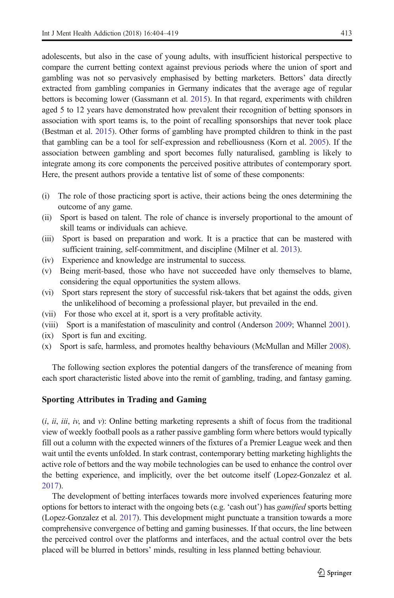adolescents, but also in the case of young adults, with insufficient historical perspective to compare the current betting context against previous periods where the union of sport and gambling was not so pervasively emphasised by betting marketers. Bettors' data directly extracted from gambling companies in Germany indicates that the average age of regular bettors is becoming lower (Gassmann et al. [2015](#page-13-0)). In that regard, experiments with children aged 5 to 12 years have demonstrated how prevalent their recognition of betting sponsors in association with sport teams is, to the point of recalling sponsorships that never took place (Bestman et al. [2015\)](#page-12-0). Other forms of gambling have prompted children to think in the past that gambling can be a tool for self-expression and rebelliousness (Korn et al. [2005\)](#page-14-0). If the association between gambling and sport becomes fully naturalised, gambling is likely to integrate among its core components the perceived positive attributes of contemporary sport. Here, the present authors provide a tentative list of some of these components:

- (i) The role of those practicing sport is active, their actions being the ones determining the outcome of any game.
- (ii) Sport is based on talent. The role of chance is inversely proportional to the amount of skill teams or individuals can achieve.
- (iii) Sport is based on preparation and work. It is a practice that can be mastered with sufficient training, self-commitment, and discipline (Milner et al. [2013\)](#page-14-0).
- (iv) Experience and knowledge are instrumental to success.
- (v) Being merit-based, those who have not succeeded have only themselves to blame, considering the equal opportunities the system allows.
- (vi) Sport stars represent the story of successful risk-takers that bet against the odds, given the unlikelihood of becoming a professional player, but prevailed in the end.
- (vii) For those who excel at it, sport is a very profitable activity.
- (viii) Sport is a manifestation of masculinity and control (Anderson [2009;](#page-12-0) Whannel [2001](#page-15-0)).
- (ix) Sport is fun and exciting.
- (x) Sport is safe, harmless, and promotes healthy behaviours (McMullan and Miller [2008](#page-14-0)).

The following section explores the potential dangers of the transference of meaning from each sport characteristic listed above into the remit of gambling, trading, and fantasy gaming.

## Sporting Attributes in Trading and Gaming

 $(i, ii, iii, iv, and v)$ : Online betting marketing represents a shift of focus from the traditional view of weekly football pools as a rather passive gambling form where bettors would typically fill out a column with the expected winners of the fixtures of a Premier League week and then wait until the events unfolded. In stark contrast, contemporary betting marketing highlights the active role of bettors and the way mobile technologies can be used to enhance the control over the betting experience, and implicitly, over the bet outcome itself (Lopez-Gonzalez et al. [2017](#page-14-0)).

The development of betting interfaces towards more involved experiences featuring more options for bettors to interact with the ongoing bets (e.g. 'cash out') has *gamified* sports betting (Lopez-Gonzalez et al. [2017](#page-14-0)). This development might punctuate a transition towards a more comprehensive convergence of betting and gaming businesses. If that occurs, the line between the perceived control over the platforms and interfaces, and the actual control over the bets placed will be blurred in bettors' minds, resulting in less planned betting behaviour.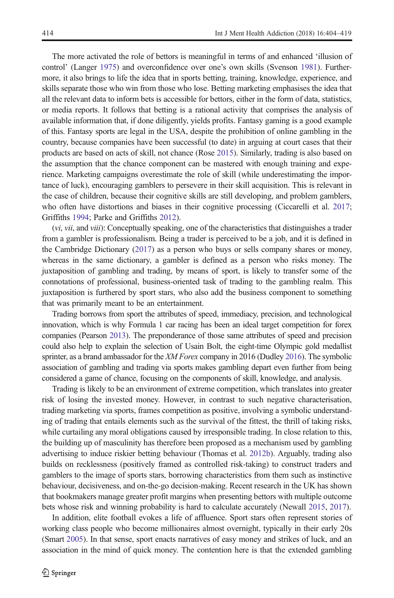The more activated the role of bettors is meaningful in terms of and enhanced 'illusion of control' (Langer [1975\)](#page-14-0) and overconfidence over one's own skills (Svenson [1981](#page-15-0)). Furthermore, it also brings to life the idea that in sports betting, training, knowledge, experience, and skills separate those who win from those who lose. Betting marketing emphasises the idea that all the relevant data to inform bets is accessible for bettors, either in the form of data, statistics, or media reports. It follows that betting is a rational activity that comprises the analysis of available information that, if done diligently, yields profits. Fantasy gaming is a good example of this. Fantasy sports are legal in the USA, despite the prohibition of online gambling in the country, because companies have been successful (to date) in arguing at court cases that their products are based on acts of skill, not chance (Rose [2015\)](#page-15-0). Similarly, trading is also based on the assumption that the chance component can be mastered with enough training and experience. Marketing campaigns overestimate the role of skill (while underestimating the importance of luck), encouraging gamblers to persevere in their skill acquisition. This is relevant in the case of children, because their cognitive skills are still developing, and problem gamblers, who often have distortions and biases in their cognitive processing (Ciccarelli et al. [2017](#page-12-0); Griffiths [1994](#page-13-0); Parke and Griffiths [2012\)](#page-14-0).

(vi, vii, and viii): Conceptually speaking, one of the characteristics that distinguishes a trader from a gambler is professionalism. Being a trader is perceived to be a job, and it is defined in the Cambridge Dictionary ([2017](#page-12-0)) as a person who buys or sells company shares or money, whereas in the same dictionary, a gambler is defined as a person who risks money. The juxtaposition of gambling and trading, by means of sport, is likely to transfer some of the connotations of professional, business-oriented task of trading to the gambling realm. This juxtaposition is furthered by sport stars, who also add the business component to something that was primarily meant to be an entertainment.

Trading borrows from sport the attributes of speed, immediacy, precision, and technological innovation, which is why Formula 1 car racing has been an ideal target competition for forex companies (Pearson [2013](#page-14-0)). The preponderance of those same attributes of speed and precision could also help to explain the selection of Usain Bolt, the eight-time Olympic gold medallist sprinter, as a brand ambassador for the XM Forex company in 2016 (Dudley [2016\)](#page-13-0). The symbolic association of gambling and trading via sports makes gambling depart even further from being considered a game of chance, focusing on the components of skill, knowledge, and analysis.

Trading is likely to be an environment of extreme competition, which translates into greater risk of losing the invested money. However, in contrast to such negative characterisation, trading marketing via sports, frames competition as positive, involving a symbolic understanding of trading that entails elements such as the survival of the fittest, the thrill of taking risks, while curtailing any moral obligations caused by irresponsible trading. In close relation to this, the building up of masculinity has therefore been proposed as a mechanism used by gambling advertising to induce riskier betting behaviour (Thomas et al. [2012b\)](#page-15-0). Arguably, trading also builds on recklessness (positively framed as controlled risk-taking) to construct traders and gamblers to the image of sports stars, borrowing characteristics from them such as instinctive behaviour, decisiveness, and on-the-go decision-making. Recent research in the UK has shown that bookmakers manage greater profit margins when presenting bettors with multiple outcome bets whose risk and winning probability is hard to calculate accurately (Newall [2015,](#page-14-0) [2017\)](#page-14-0).

In addition, elite football evokes a life of affluence. Sport stars often represent stories of working class people who become millionaires almost overnight, typically in their early 20s (Smart [2005\)](#page-15-0). In that sense, sport enacts narratives of easy money and strikes of luck, and an association in the mind of quick money. The contention here is that the extended gambling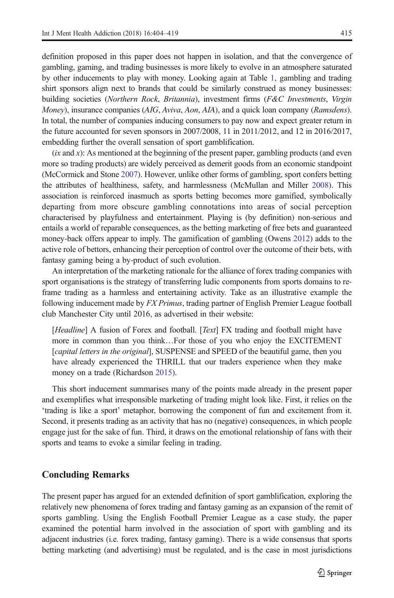definition proposed in this paper does not happen in isolation, and that the convergence of gambling, gaming, and trading businesses is more likely to evolve in an atmosphere saturated by other inducements to play with money. Looking again at Table [1](#page-5-0), gambling and trading shirt sponsors align next to brands that could be similarly construed as money businesses: building societies (Northern Rock, Britannia), investment firms (F&C Investments, Virgin Money), insurance companies (AIG, Aviva, Aon, AIA), and a quick loan company (Ramsdens). In total, the number of companies inducing consumers to pay now and expect greater return in the future accounted for seven sponsors in 2007/2008, 11 in 2011/2012, and 12 in 2016/2017, embedding further the overall sensation of sport gamblification.

 $(ix and x)$ : As mentioned at the beginning of the present paper, gambling products (and even more so trading products) are widely perceived as demerit goods from an economic standpoint (McCormick and Stone [2007\)](#page-14-0). However, unlike other forms of gambling, sport confers betting the attributes of healthiness, safety, and harmlessness (McMullan and Miller [2008\)](#page-14-0). This association is reinforced inasmuch as sports betting becomes more gamified, symbolically departing from more obscure gambling connotations into areas of social perception characterised by playfulness and entertainment. Playing is (by definition) non-serious and entails a world of reparable consequences, as the betting marketing of free bets and guaranteed money-back offers appear to imply. The gamification of gambling (Owens [2012\)](#page-14-0) adds to the active role of bettors, enhancing their perception of control over the outcome of their bets, with fantasy gaming being a by-product of such evolution.

An interpretation of the marketing rationale for the alliance of forex trading companies with sport organisations is the strategy of transferring ludic components from sports domains to reframe trading as a harmless and entertaining activity. Take as an illustrative example the following inducement made by FX Primus, trading partner of English Premier League football club Manchester City until 2016, as advertised in their website:

[Headline] A fusion of Forex and football. [Text] FX trading and football might have more in common than you think…For those of you who enjoy the EXCITEMENT [capital letters in the original], SUSPENSE and SPEED of the beautiful game, then you have already experienced the THRILL that our traders experience when they make money on a trade (Richardson [2015](#page-15-0)).

This short inducement summarises many of the points made already in the present paper and exemplifies what irresponsible marketing of trading might look like. First, it relies on the 'trading is like a sport' metaphor, borrowing the component of fun and excitement from it. Second, it presents trading as an activity that has no (negative) consequences, in which people engage just for the sake of fun. Third, it draws on the emotional relationship of fans with their sports and teams to evoke a similar feeling in trading.

# Concluding Remarks

The present paper has argued for an extended definition of sport gamblification, exploring the relatively new phenomena of forex trading and fantasy gaming as an expansion of the remit of sports gambling. Using the English Football Premier League as a case study, the paper examined the potential harm involved in the association of sport with gambling and its adjacent industries (i.e. forex trading, fantasy gaming). There is a wide consensus that sports betting marketing (and advertising) must be regulated, and is the case in most jurisdictions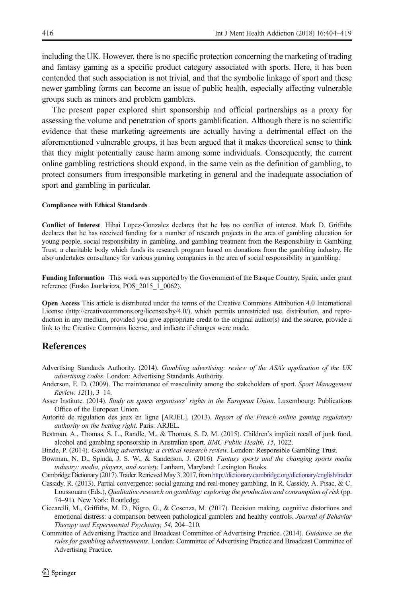<span id="page-12-0"></span>including the UK. However, there is no specific protection concerning the marketing of trading and fantasy gaming as a specific product category associated with sports. Here, it has been contended that such association is not trivial, and that the symbolic linkage of sport and these newer gambling forms can become an issue of public health, especially affecting vulnerable groups such as minors and problem gamblers.

The present paper explored shirt sponsorship and official partnerships as a proxy for assessing the volume and penetration of sports gamblification. Although there is no scientific evidence that these marketing agreements are actually having a detrimental effect on the aforementioned vulnerable groups, it has been argued that it makes theoretical sense to think that they might potentially cause harm among some individuals. Consequently, the current online gambling restrictions should expand, in the same vein as the definition of gambling, to protect consumers from irresponsible marketing in general and the inadequate association of sport and gambling in particular.

#### Compliance with Ethical Standards

Conflict of Interest Hibai Lopez-Gonzalez declares that he has no conflict of interest. Mark D. Griffiths declares that he has received funding for a number of research projects in the area of gambling education for young people, social responsibility in gambling, and gambling treatment from the Responsibility in Gambling Trust, a charitable body which funds its research program based on donations from the gambling industry. He also undertakes consultancy for various gaming companies in the area of social responsibility in gambling.

Funding Information This work was supported by the Government of the Basque Country, Spain, under grant reference (Eusko Jaurlaritza, POS\_2015\_1\_0062).

Open Access This article is distributed under the terms of the Creative Commons Attribution 4.0 International License (http://creativecommons.org/licenses/by/4.0/), which permits unrestricted use, distribution, and reproduction in any medium, provided you give appropriate credit to the original author(s) and the source, provide a link to the Creative Commons license, and indicate if changes were made.

### References

- Advertising Standards Authority. (2014). Gambling advertising: review of the ASA's application of the UK advertising codes. London: Advertising Standards Authority.
- Anderson, E. D. (2009). The maintenance of masculinity among the stakeholders of sport. Sport Management Review, 12(1), 3–14.
- Asser Institute. (2014). Study on sports organisers' rights in the European Union. Luxembourg: Publications Office of the European Union.
- Autorité de régulation des jeux en ligne [ARJEL]. (2013). Report of the French online gaming regulatory authority on the betting right. Paris: ARJEL.
- Bestman, A., Thomas, S. L., Randle, M., & Thomas, S. D. M. (2015). Children's implicit recall of junk food, alcohol and gambling sponsorship in Australian sport. BMC Public Health, 15, 1022.
- Binde, P. (2014). Gambling advertising: a critical research review. London: Responsible Gambling Trust.
- Bowman, N. D., Spinda, J. S. W., & Sanderson, J. (2016). Fantasy sports and the changing sports media industry: media, players, and society. Lanham, Maryland: Lexington Books.
- Cambridge Dictionary (2017). Trader. RetrievedMay 3, 2017, from<http://dictionary.cambridge.org/dictionary/english/trader>
- Cassidy, R. (2013). Partial convergence: social gaming and real-money gambling. In R. Cassidy, A. Pisac, & C. Loussouarn (Eds.), Qualitative research on gambling: exploring the production and consumption of risk (pp. 74–91). New York: Routledge.
- Ciccarelli, M., Griffiths, M. D., Nigro, G., & Cosenza, M. (2017). Decision making, cognitive distortions and emotional distress: a comparison between pathological gamblers and healthy controls. Journal of Behavior Therapy and Experimental Psychiatry, 54, 204–210.
- Committee of Advertising Practice and Broadcast Committee of Advertising Practice. (2014). Guidance on the rules for gambling advertisements. London: Committee of Advertising Practice and Broadcast Committee of Advertising Practice.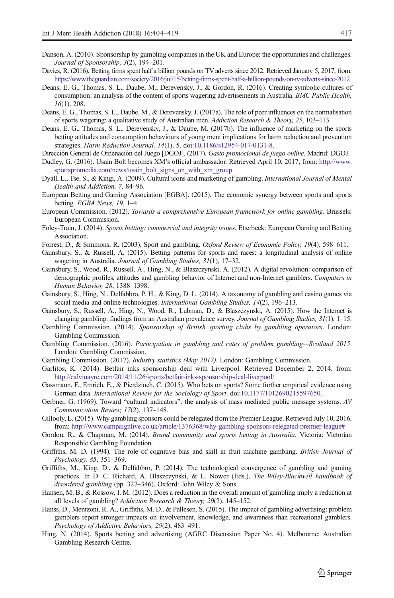- <span id="page-13-0"></span>Danson, A. (2010). Sponsorship by gambling companies in the UK and Europe: the opportunities and challenges. Journal of Sponsorship, 3(2), 194–201.
- Davies, R. (2016). Betting firms spent half a billion pounds on TV adverts since 2012. Retrieved January 5, 2017, from: <https://www.theguardian.com/society/2016/jul/15/betting-firms-spent-half-a-billion-pounds-on-tv-adverts-since-2012>
- Deans, E. G., Thomas, S. L., Daube, M., Derevensky, J., & Gordon, R. (2016). Creating symbolic cultures of consumption: an analysis of the content of sports wagering advertisements in Australia. BMC Public Health, 16(1), 208.
- Deans, E. G., Thomas, S. L., Daube, M., & Derevensky, J. (2017a). The role of peer influences on the normalisation of sports wagering: a qualitative study of Australian men. Addiction Research & Theory, 25, 103–113.
- Deans, E. G., Thomas, S. L., Derevensky, J., & Daube, M. (2017b). The influence of marketing on the sports betting attitudes and consumption behaviours of young men: implications for harm reduction and prevention strategies. Harm Reduction Journal, 14(1), 5. doi[:10.1186/s12954-017-0131-8](http://dx.doi.org/10.1186/s12954-017-0131-8).
- Dirección General de Ordenación del Juego [DGOJ]. (2017). Gasto promocional de juego online. Madrid: DGOJ.
- Dudley, G. (2016). Usain Bolt becomes XM's official ambassador. Retrieved April 10, 2017, from: [http://www.](http://www.sportspromedia.com/news/usain_bolt_signs_on_with_xm_group) [sportspromedia.com/news/usain\\_bolt\\_signs\\_on\\_with\\_xm\\_group](http://www.sportspromedia.com/news/usain_bolt_signs_on_with_xm_group)
- Dyall, L., Tse, S., & Kingi, A. (2009). Cultural icons and marketing of gambling. International Journal of Mental Health and Addiction, 7, 84–96.
- European Betting and Gaming Association [EGBA]. (2015). The economic synergy between sports and sports betting. EGBA News, 19, 1–4.
- European Commission. (2012). Towards a comprehensive European framework for online gambling. Brussels: European Commission.
- Foley-Train, J. (2014). Sports betting: commercial and integrity issues. Etterbeek: European Gaming and Betting Association.
- Forrest, D., & Simmons, R. (2003). Sport and gambling. Oxford Review of Economic Policy, 19(4), 598–611.
- Gainsbury, S., & Russell, A. (2015). Betting patterns for sports and races: a longitudinal analysis of online wagering in Australia. Journal of Gambling Studies, 31(1), 17–32.
- Gainsbury, S., Wood, R., Russell, A., Hing, N., & Blaszczynski, A. (2012). A digital revolution: comparison of demographic profiles, attitudes and gambling behavior of Internet and non-Internet gamblers. Computers in Human Behavior, 28, 1388–1398.
- Gainsbury, S., Hing, N., Delfabbro, P. H., & King, D. L. (2014). A taxonomy of gambling and casino games via social media and online technologies. *International Gambling Studies*, 14(2), 196–213.
- Gainsbury, S., Russell, A., Hing, N., Wood, R., Lubman, D., & Blaszczynski, A. (2015). How the Internet is changing gambling: findings from an Australian prevalence survey. Journal of Gambling Studies, 31(1), 1-15.
- Gambling Commission. (2014). Sponsorship of British sporting clubs by gambling operators. London: Gambling Commission.
- Gambling Commission. (2016). Participation in gambling and rates of problem gambling—Scotland 2015. London: Gambling Commission.
- Gambling Commission. (2017). *Industry statistics (May 2017)*. London: Gambling Commission.
- Garlitos, K. (2014). Betfair inks sponsorship deal with Liverpool. Retrieved December 2, 2014, from: <http://calvinayre.com/2014/11/26/sports/betfair-inks-sponsorship-deal-liverpool/>
- Gassmann, F., Emrich, E., & Pierdzioch, C. (2015). Who bets on sports? Some further empirical evidence using German data. International Review for the Sociology of Sport. doi:[10.1177/1012690215597650.](http://dx.doi.org/10.1177/1012690215597650)
- Gerbner, G. (1969). Toward "cultural indicators": the analysis of mass mediated public message systems. AV Communication Review, 17(2), 137–148.
- Gillooly, L. (2015). Why gambling sponsors could be relegated from the Premier League. Retrieved July 10, 2016, from: <http://www.campaignlive.co.uk/article/1376368/why-gambling-sponsors-relegated-premier-league#>
- Gordon, R., & Chapman, M. (2014). Brand community and sports betting in Australia. Victoria: Victorian Responsible Gambling Foundation.
- Griffiths, M. D. (1994). The role of cognitive bias and skill in fruit machine gambling. British Journal of Psychology, 85, 351–369.
- Griffiths, M., King, D., & Delfabbro, P. (2014). The technological convergence of gambling and gaming practices. In D. C. Richard, A. Blaszczynski, & L. Nower (Eds.), The Wiley-Blackwell handbook of disordered gambling (pp. 327–346). Oxford: John Wiley & Sons.
- Hansen, M. B., & Rossow, I. M. (2012). Does a reduction in the overall amount of gambling imply a reduction at all levels of gambling? Addiction Research & Theory, 20(2), 145–152.
- Hanss, D., Mentzoni, R. A., Griffiths, M. D., & Pallesen, S. (2015). The impact of gambling advertising: problem gamblers report stronger impacts on involvement, knowledge, and awareness than recreational gamblers. Psychology of Addictive Behaviors, 29(2), 483–491.
- Hing, N. (2014). Sports betting and advertising (AGRC Discussion Paper No. 4). Melbourne: Australian Gambling Research Centre.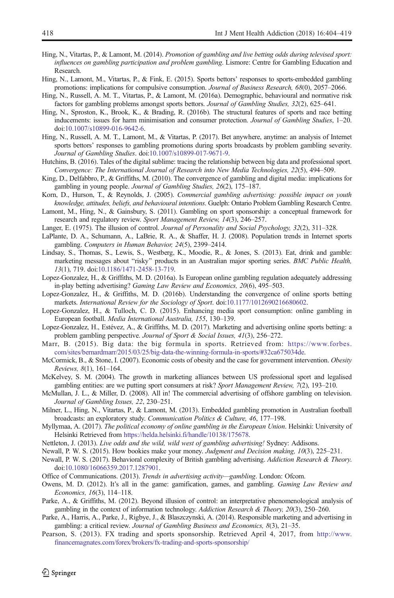- <span id="page-14-0"></span>Hing, N., Vitartas, P., & Lamont, M. (2014). Promotion of gambling and live betting odds during televised sport: influences on gambling participation and problem gambling. Lismore: Centre for Gambling Education and Research.
- Hing, N., Lamont, M., Vitartas, P., & Fink, E. (2015). Sports bettors' responses to sports-embedded gambling promotions: implications for compulsive consumption. Journal of Business Research, 68(0), 2057–2066.
- Hing, N., Russell, A. M. T., Vitartas, P., & Lamont, M. (2016a). Demographic, behavioural and normative risk factors for gambling problems amongst sports bettors. Journal of Gambling Studies, 32(2), 625–641.
- Hing, N., Sproston, K., Brook, K., & Brading, R. (2016b). The structural features of sports and race betting inducements: issues for harm minimisation and consumer protection. Journal of Gambling Studies, 1-20. doi:[10.1007/s10899-016-9642-6](http://dx.doi.org/10.1007/s10899-016-9642-6).
- Hing, N., Russell, A. M. T., Lamont, M., & Vitartas, P. (2017). Bet anywhere, anytime: an analysis of Internet sports bettors' responses to gambling promotions during sports broadcasts by problem gambling severity. Journal of Gambling Studies. doi:[10.1007/s10899-017-9671-9.](http://dx.doi.org/10.1007/s10899-017-9671-9)
- Hutchins, B. (2016). Tales of the digital sublime: tracing the relationship between big data and professional sport. Convergence: The International Journal of Research into New Media Technologies, 22(5), 494–509.
- King, D., Delfabbro, P., & Griffiths, M. (2010). The convergence of gambling and digital media: implications for gambling in young people. Journal of Gambling Studies, 26(2), 175–187.
- Korn, D., Hurson, T., & Reynolds, J. (2005). Commercial gambling advertising: possible impact on youth knowledge, attitudes, beliefs, and behavioural intentions. Guelph: Ontario Problem Gambling Research Centre.
- Lamont, M., Hing, N., & Gainsbury, S. (2011). Gambling on sport sponsorship: a conceptual framework for research and regulatory review. Sport Management Review, 14(3), 246–257.
- Langer, E. (1975). The illusion of control. Journal of Personality and Social Psychology, 32(2), 311–328.
- LaPlante, D. A., Schumann, A., LaBrie, R. A., & Shaffer, H. J. (2008). Population trends in Internet sports gambling. Computers in Human Behavior, 24(5), 2399–2414.
- Lindsay, S., Thomas, S., Lewis, S., Westberg, K., Moodie, R., & Jones, S. (2013). Eat, drink and gamble: marketing messages about "risky" products in an Australian major sporting series. BMC Public Health, 13(1), 719. doi[:10.1186/1471-2458-13-719.](http://dx.doi.org/10.1186/1471-2458-13-719)
- Lopez-Gonzalez, H., & Griffiths, M. D. (2016a). Is European online gambling regulation adequately addressing in-play betting advertising? Gaming Law Review and Economics, 20(6), 495–503.
- Lopez-Gonzalez, H., & Griffiths, M. D. (2016b). Understanding the convergence of online sports betting markets. International Review for the Sociology of Sport. doi[:10.1177/1012690216680602.](http://dx.doi.org/10.1177/1012690216680602)
- Lopez-Gonzalez, H., & Tulloch, C. D. (2015). Enhancing media sport consumption: online gambling in European football. Media International Australia, 155, 130–139.
- Lopez-Gonzalez, H., Estévez, A., & Griffiths, M. D. (2017). Marketing and advertising online sports betting: a problem gambling perspective. Journal of Sport & Social Issues, 41(3), 256–272.
- Marr, B. (2015). Big data: the big formula in sports. Retrieved from: [https://www.forbes.](https://www.forbes.com/sites/bernardmarr/2015/03/25/big-data-the-winning-formula-in-sports/#32ca675034de) [com/sites/bernardmarr/2015/03/25/big-data-the-winning-formula-in-sports/#32ca675034de](https://www.forbes.com/sites/bernardmarr/2015/03/25/big-data-the-winning-formula-in-sports/#32ca675034de).
- McCormick, B., & Stone, I. (2007). Economic costs of obesity and the case for government intervention. Obesity Reviews, 8(1), 161–164.
- McKelvey, S. M. (2004). The growth in marketing alliances between US professional sport and legalised gambling entities: are we putting sport consumers at risk? Sport Management Review, 7(2), 193-210.
- McMullan, J. L., & Miller, D. (2008). All in! The commercial advertising of offshore gambling on television. Journal of Gambling Issues, 22, 230–251.
- Milner, L., Hing, N., Vitartas, P., & Lamont, M. (2013). Embedded gambling promotion in Australian football broadcasts: an exploratory study. Communication Politics & Culture, 46, 177–198.
- Myllymaa, A. (2017). The political economy of online gambling in the European Union. Helsinki: University of Helsinki Retrieved from <https://helda.helsinki.fi/handle/10138/175678>.
- Nettleton, J. (2013). Live odds and the wild, wild west of gambling advertising! Sydney: Addisons.
- Newall, P. W. S. (2015). How bookies make your money. Judgment and Decision making, 10(3), 225–231.
- Newall, P. W. S. (2017). Behavioral complexity of British gambling advertising. Addiction Research & Theory. doi:[10.1080/16066359.2017.1287901](http://dx.doi.org/10.1080/16066359.2017.1287901).
- Office of Communications. (2013). Trends in advertising activity—gambling. London: Ofcom.
- Owens, M. D. (2012). It's all in the game: gamification, games, and gambling. Gaming Law Review and Economics, 16(3), 114–118.
- Parke, A., & Griffiths, M. (2012). Beyond illusion of control: an interpretative phenomenological analysis of gambling in the context of information technology. Addiction Research & Theory, 20(3), 250–260.
- Parke, A., Harris, A., Parke, J., Rigbye, J., & Blaszczynski, A. (2014). Responsible marketing and advertising in gambling: a critical review. Journal of Gambling Business and Economics, 8(3), 21–35.
- Pearson, S. (2013). FX trading and sports sponsorship. Retrieved April 4, 2017, from [http://www.](http://www.financemagnates.com/forex/brokers/fx-trading-and-sports-sponsorship/) [financemagnates.com/forex/brokers/fx-trading-and-sports-sponsorship/](http://www.financemagnates.com/forex/brokers/fx-trading-and-sports-sponsorship/)